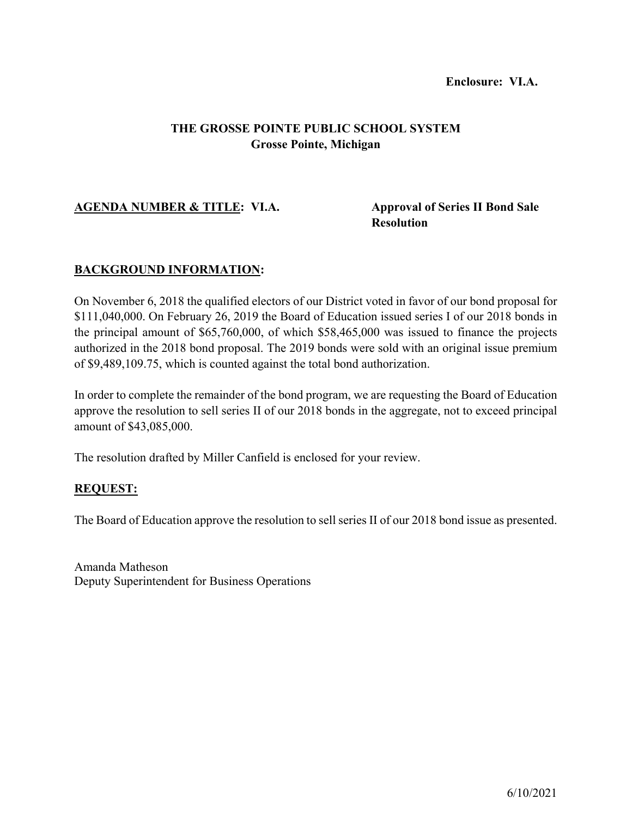#### **Enclosure: VI.A.**

# **THE GROSSE POINTE PUBLIC SCHOOL SYSTEM Grosse Pointe, Michigan**

## **AGENDA NUMBER & TITLE: VI.A. Approval of Series II Bond Sale**

# **Resolution**

## **BACKGROUND INFORMATION:**

On November 6, 2018 the qualified electors of our District voted in favor of our bond proposal for \$111,040,000. On February 26, 2019 the Board of Education issued series I of our 2018 bonds in the principal amount of \$65,760,000, of which \$58,465,000 was issued to finance the projects authorized in the 2018 bond proposal. The 2019 bonds were sold with an original issue premium of \$9,489,109.75, which is counted against the total bond authorization.

In order to complete the remainder of the bond program, we are requesting the Board of Education approve the resolution to sell series II of our 2018 bonds in the aggregate, not to exceed principal amount of \$43,085,000.

The resolution drafted by Miller Canfield is enclosed for your review.

#### **REQUEST:**

The Board of Education approve the resolution to sell series II of our 2018 bond issue as presented.

Amanda Matheson Deputy Superintendent for Business Operations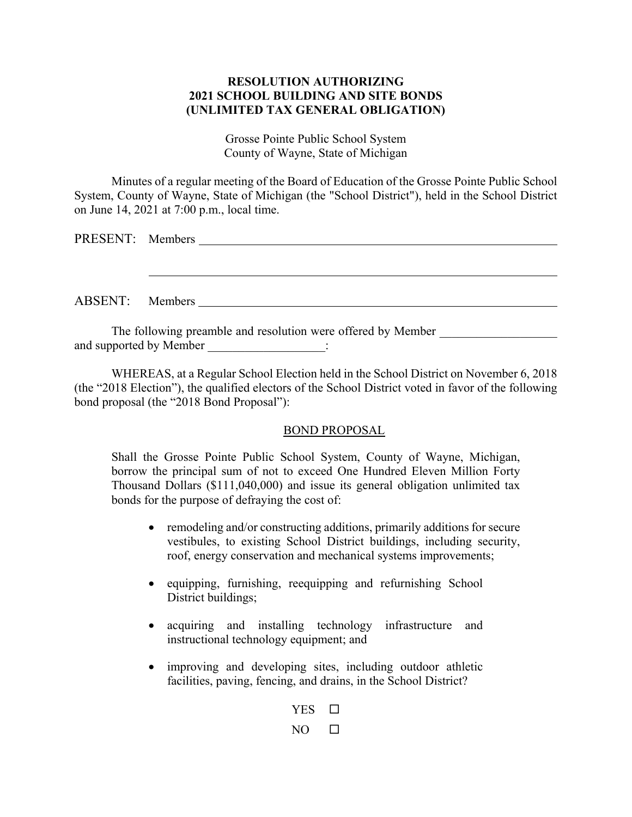## **RESOLUTION AUTHORIZING 2021 SCHOOL BUILDING AND SITE BONDS (UNLIMITED TAX GENERAL OBLIGATION)**

Grosse Pointe Public School System County of Wayne, State of Michigan

Minutes of a regular meeting of the Board of Education of the Grosse Pointe Public School System, County of Wayne, State of Michigan (the "School District"), held in the School District on June 14, 2021 at 7:00 p.m., local time.

|                                                              | PRESENT: Members |  |  |
|--------------------------------------------------------------|------------------|--|--|
|                                                              |                  |  |  |
|                                                              |                  |  |  |
|                                                              |                  |  |  |
|                                                              | ABSENT: Members  |  |  |
|                                                              |                  |  |  |
| The following preamble and resolution were offered by Member |                  |  |  |

WHEREAS, at a Regular School Election held in the School District on November 6, 2018 (the "2018 Election"), the qualified electors of the School District voted in favor of the following bond proposal (the "2018 Bond Proposal"):

and supported by Member  $\cdot$ 

#### BOND PROPOSAL

Shall the Grosse Pointe Public School System, County of Wayne, Michigan, borrow the principal sum of not to exceed One Hundred Eleven Million Forty Thousand Dollars (\$111,040,000) and issue its general obligation unlimited tax bonds for the purpose of defraying the cost of:

- remodeling and/or constructing additions, primarily additions for secure vestibules, to existing School District buildings, including security, roof, energy conservation and mechanical systems improvements;
- equipping, furnishing, reequipping and refurnishing School District buildings;
- acquiring and installing technology infrastructure and instructional technology equipment; and
- improving and developing sites, including outdoor athletic facilities, paving, fencing, and drains, in the School District?

YES  $\square$  $NO$   $\square$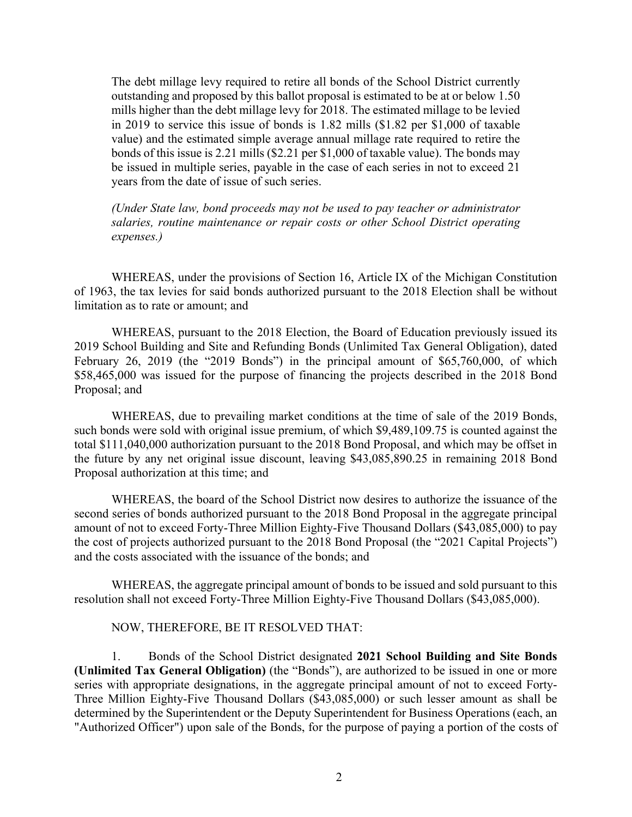The debt millage levy required to retire all bonds of the School District currently outstanding and proposed by this ballot proposal is estimated to be at or below 1.50 mills higher than the debt millage levy for 2018. The estimated millage to be levied in 2019 to service this issue of bonds is 1.82 mills (\$1.82 per \$1,000 of taxable value) and the estimated simple average annual millage rate required to retire the bonds of this issue is 2.21 mills (\$2.21 per \$1,000 of taxable value). The bonds may be issued in multiple series, payable in the case of each series in not to exceed 21 years from the date of issue of such series.

*(Under State law, bond proceeds may not be used to pay teacher or administrator salaries, routine maintenance or repair costs or other School District operating expenses.)*

WHEREAS, under the provisions of Section 16, Article IX of the Michigan Constitution of 1963, the tax levies for said bonds authorized pursuant to the 2018 Election shall be without limitation as to rate or amount; and

WHEREAS, pursuant to the 2018 Election, the Board of Education previously issued its 2019 School Building and Site and Refunding Bonds (Unlimited Tax General Obligation), dated February 26, 2019 (the "2019 Bonds") in the principal amount of \$65,760,000, of which \$58,465,000 was issued for the purpose of financing the projects described in the 2018 Bond Proposal; and

WHEREAS, due to prevailing market conditions at the time of sale of the 2019 Bonds, such bonds were sold with original issue premium, of which \$9,489,109.75 is counted against the total \$111,040,000 authorization pursuant to the 2018 Bond Proposal, and which may be offset in the future by any net original issue discount, leaving \$43,085,890.25 in remaining 2018 Bond Proposal authorization at this time; and

WHEREAS, the board of the School District now desires to authorize the issuance of the second series of bonds authorized pursuant to the 2018 Bond Proposal in the aggregate principal amount of not to exceed Forty-Three Million Eighty-Five Thousand Dollars (\$43,085,000) to pay the cost of projects authorized pursuant to the 2018 Bond Proposal (the "2021 Capital Projects") and the costs associated with the issuance of the bonds; and

WHEREAS, the aggregate principal amount of bonds to be issued and sold pursuant to this resolution shall not exceed Forty-Three Million Eighty-Five Thousand Dollars (\$43,085,000).

#### NOW, THEREFORE, BE IT RESOLVED THAT:

1. Bonds of the School District designated **2021 School Building and Site Bonds (Unlimited Tax General Obligation)** (the "Bonds"), are authorized to be issued in one or more series with appropriate designations, in the aggregate principal amount of not to exceed Forty-Three Million Eighty-Five Thousand Dollars (\$43,085,000) or such lesser amount as shall be determined by the Superintendent or the Deputy Superintendent for Business Operations (each, an "Authorized Officer") upon sale of the Bonds, for the purpose of paying a portion of the costs of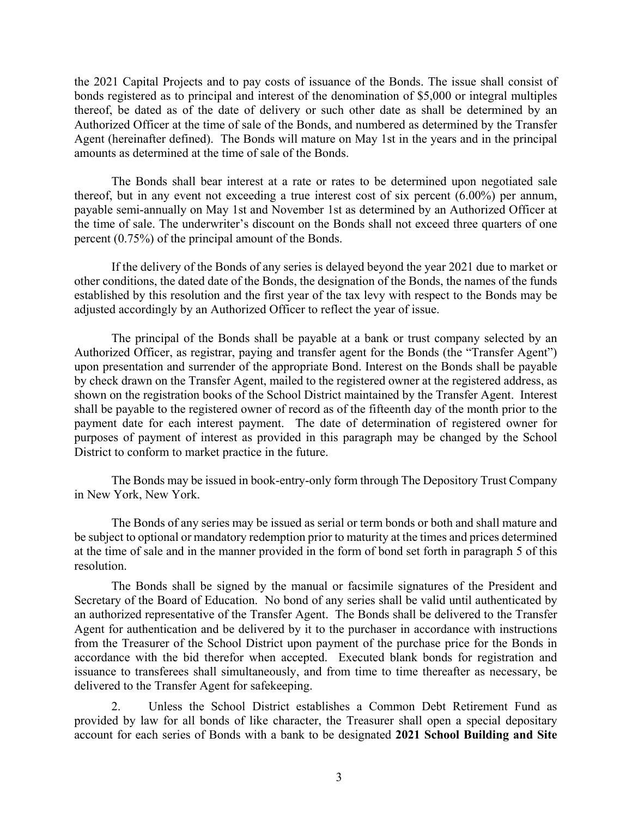the 2021 Capital Projects and to pay costs of issuance of the Bonds. The issue shall consist of bonds registered as to principal and interest of the denomination of \$5,000 or integral multiples thereof, be dated as of the date of delivery or such other date as shall be determined by an Authorized Officer at the time of sale of the Bonds, and numbered as determined by the Transfer Agent (hereinafter defined). The Bonds will mature on May 1st in the years and in the principal amounts as determined at the time of sale of the Bonds.

The Bonds shall bear interest at a rate or rates to be determined upon negotiated sale thereof, but in any event not exceeding a true interest cost of six percent (6.00%) per annum, payable semi-annually on May 1st and November 1st as determined by an Authorized Officer at the time of sale. The underwriter's discount on the Bonds shall not exceed three quarters of one percent (0.75%) of the principal amount of the Bonds.

If the delivery of the Bonds of any series is delayed beyond the year 2021 due to market or other conditions, the dated date of the Bonds, the designation of the Bonds, the names of the funds established by this resolution and the first year of the tax levy with respect to the Bonds may be adjusted accordingly by an Authorized Officer to reflect the year of issue.

The principal of the Bonds shall be payable at a bank or trust company selected by an Authorized Officer, as registrar, paying and transfer agent for the Bonds (the "Transfer Agent") upon presentation and surrender of the appropriate Bond. Interest on the Bonds shall be payable by check drawn on the Transfer Agent, mailed to the registered owner at the registered address, as shown on the registration books of the School District maintained by the Transfer Agent. Interest shall be payable to the registered owner of record as of the fifteenth day of the month prior to the payment date for each interest payment. The date of determination of registered owner for purposes of payment of interest as provided in this paragraph may be changed by the School District to conform to market practice in the future.

The Bonds may be issued in book-entry-only form through The Depository Trust Company in New York, New York.

The Bonds of any series may be issued as serial or term bonds or both and shall mature and be subject to optional or mandatory redemption prior to maturity at the times and prices determined at the time of sale and in the manner provided in the form of bond set forth in paragraph 5 of this resolution.

The Bonds shall be signed by the manual or facsimile signatures of the President and Secretary of the Board of Education. No bond of any series shall be valid until authenticated by an authorized representative of the Transfer Agent. The Bonds shall be delivered to the Transfer Agent for authentication and be delivered by it to the purchaser in accordance with instructions from the Treasurer of the School District upon payment of the purchase price for the Bonds in accordance with the bid therefor when accepted. Executed blank bonds for registration and issuance to transferees shall simultaneously, and from time to time thereafter as necessary, be delivered to the Transfer Agent for safekeeping.

2. Unless the School District establishes a Common Debt Retirement Fund as provided by law for all bonds of like character, the Treasurer shall open a special depositary account for each series of Bonds with a bank to be designated **2021 School Building and Site**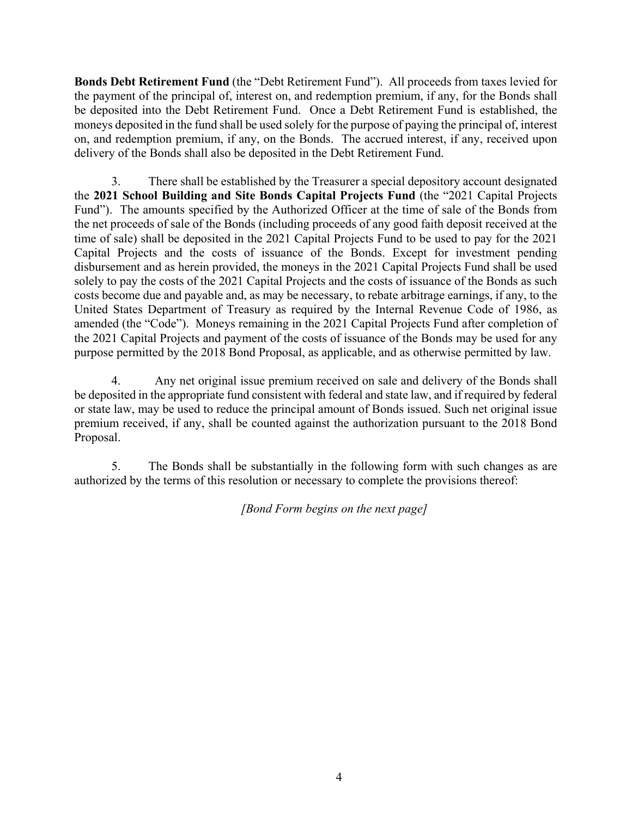**Bonds Debt Retirement Fund** (the "Debt Retirement Fund"). All proceeds from taxes levied for the payment of the principal of, interest on, and redemption premium, if any, for the Bonds shall be deposited into the Debt Retirement Fund. Once a Debt Retirement Fund is established, the moneys deposited in the fund shall be used solely for the purpose of paying the principal of, interest on, and redemption premium, if any, on the Bonds. The accrued interest, if any, received upon delivery of the Bonds shall also be deposited in the Debt Retirement Fund.

3. There shall be established by the Treasurer a special depository account designated the **2021 School Building and Site Bonds Capital Projects Fund** (the "2021 Capital Projects Fund"). The amounts specified by the Authorized Officer at the time of sale of the Bonds from the net proceeds of sale of the Bonds (including proceeds of any good faith deposit received at the time of sale) shall be deposited in the 2021 Capital Projects Fund to be used to pay for the 2021 Capital Projects and the costs of issuance of the Bonds. Except for investment pending disbursement and as herein provided, the moneys in the 2021 Capital Projects Fund shall be used solely to pay the costs of the 2021 Capital Projects and the costs of issuance of the Bonds as such costs become due and payable and, as may be necessary, to rebate arbitrage earnings, if any, to the United States Department of Treasury as required by the Internal Revenue Code of 1986, as amended (the "Code"). Moneys remaining in the 2021 Capital Projects Fund after completion of the 2021 Capital Projects and payment of the costs of issuance of the Bonds may be used for any purpose permitted by the 2018 Bond Proposal, as applicable, and as otherwise permitted by law.

4. Any net original issue premium received on sale and delivery of the Bonds shall be deposited in the appropriate fund consistent with federal and state law, and if required by federal or state law, may be used to reduce the principal amount of Bonds issued. Such net original issue premium received, if any, shall be counted against the authorization pursuant to the 2018 Bond Proposal.

5. The Bonds shall be substantially in the following form with such changes as are authorized by the terms of this resolution or necessary to complete the provisions thereof:

*[Bond Form begins on the next page]*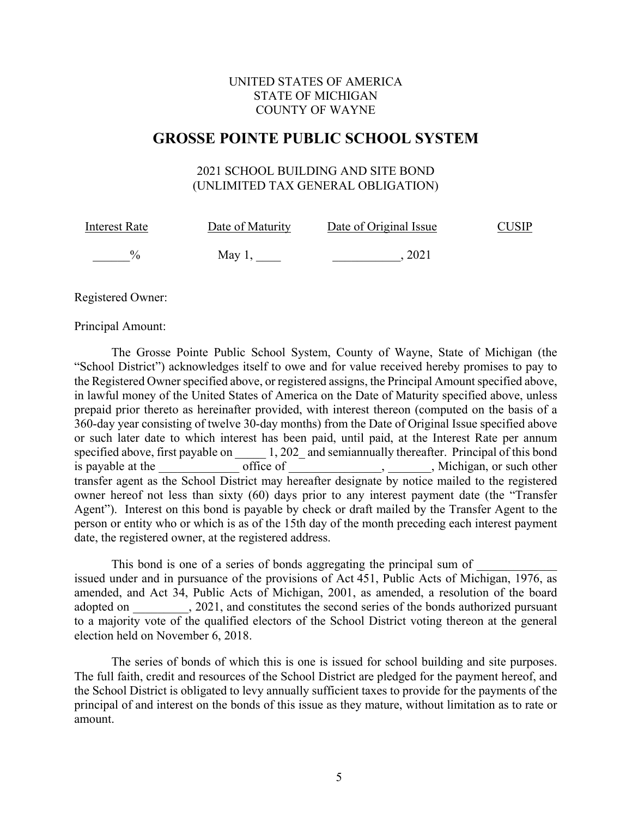## UNITED STATES OF AMERICA STATE OF MICHIGAN COUNTY OF WAYNE

# **GROSSE POINTE PUBLIC SCHOOL SYSTEM**

## 2021 SCHOOL BUILDING AND SITE BOND (UNLIMITED TAX GENERAL OBLIGATION)

| <b>Interest Rate</b> | Date of Maturity | Date of Original Issue | CUSIP |
|----------------------|------------------|------------------------|-------|
| $\frac{0}{2}$        | May 1.           | 2021                   |       |

Registered Owner:

Principal Amount:

The Grosse Pointe Public School System, County of Wayne, State of Michigan (the "School District") acknowledges itself to owe and for value received hereby promises to pay to the Registered Owner specified above, or registered assigns, the Principal Amount specified above, in lawful money of the United States of America on the Date of Maturity specified above, unless prepaid prior thereto as hereinafter provided, with interest thereon (computed on the basis of a 360-day year consisting of twelve 30-day months) from the Date of Original Issue specified above or such later date to which interest has been paid, until paid, at the Interest Rate per annum specified above, first payable on  $1, 202$  and semiannually thereafter. Principal of this bond is payable at the office of the state of the state of the state of the state of the state of  $\sim$ , Michigan, or such other transfer agent as the School District may hereafter designate by notice mailed to the registered owner hereof not less than sixty (60) days prior to any interest payment date (the "Transfer Agent"). Interest on this bond is payable by check or draft mailed by the Transfer Agent to the person or entity who or which is as of the 15th day of the month preceding each interest payment date, the registered owner, at the registered address.

This bond is one of a series of bonds aggregating the principal sum of issued under and in pursuance of the provisions of Act 451, Public Acts of Michigan, 1976, as amended, and Act 34, Public Acts of Michigan, 2001, as amended, a resolution of the board adopted on  $\qquad \qquad , 2021$ , and constitutes the second series of the bonds authorized pursuant to a majority vote of the qualified electors of the School District voting thereon at the general election held on November 6, 2018.

The series of bonds of which this is one is issued for school building and site purposes. The full faith, credit and resources of the School District are pledged for the payment hereof, and the School District is obligated to levy annually sufficient taxes to provide for the payments of the principal of and interest on the bonds of this issue as they mature, without limitation as to rate or amount.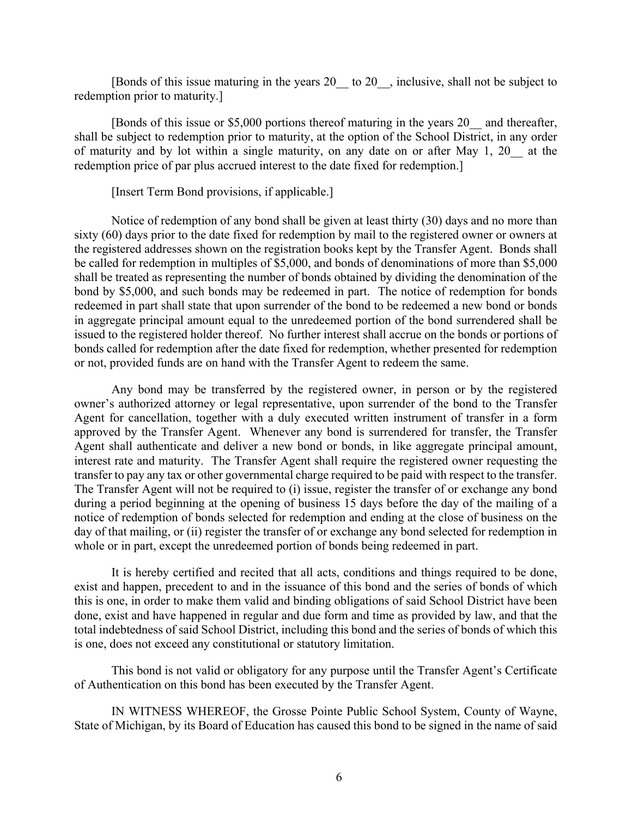[Bonds of this issue maturing in the years 20 to 20, inclusive, shall not be subject to redemption prior to maturity.]

[Bonds of this issue or \$5,000 portions thereof maturing in the years 20\_\_ and thereafter, shall be subject to redemption prior to maturity, at the option of the School District, in any order of maturity and by lot within a single maturity, on any date on or after May 1, 20\_\_ at the redemption price of par plus accrued interest to the date fixed for redemption.]

[Insert Term Bond provisions, if applicable.]

Notice of redemption of any bond shall be given at least thirty (30) days and no more than sixty (60) days prior to the date fixed for redemption by mail to the registered owner or owners at the registered addresses shown on the registration books kept by the Transfer Agent. Bonds shall be called for redemption in multiples of \$5,000, and bonds of denominations of more than \$5,000 shall be treated as representing the number of bonds obtained by dividing the denomination of the bond by \$5,000, and such bonds may be redeemed in part. The notice of redemption for bonds redeemed in part shall state that upon surrender of the bond to be redeemed a new bond or bonds in aggregate principal amount equal to the unredeemed portion of the bond surrendered shall be issued to the registered holder thereof. No further interest shall accrue on the bonds or portions of bonds called for redemption after the date fixed for redemption, whether presented for redemption or not, provided funds are on hand with the Transfer Agent to redeem the same.

Any bond may be transferred by the registered owner, in person or by the registered owner's authorized attorney or legal representative, upon surrender of the bond to the Transfer Agent for cancellation, together with a duly executed written instrument of transfer in a form approved by the Transfer Agent. Whenever any bond is surrendered for transfer, the Transfer Agent shall authenticate and deliver a new bond or bonds, in like aggregate principal amount, interest rate and maturity. The Transfer Agent shall require the registered owner requesting the transfer to pay any tax or other governmental charge required to be paid with respect to the transfer. The Transfer Agent will not be required to (i) issue, register the transfer of or exchange any bond during a period beginning at the opening of business 15 days before the day of the mailing of a notice of redemption of bonds selected for redemption and ending at the close of business on the day of that mailing, or (ii) register the transfer of or exchange any bond selected for redemption in whole or in part, except the unredeemed portion of bonds being redeemed in part.

It is hereby certified and recited that all acts, conditions and things required to be done, exist and happen, precedent to and in the issuance of this bond and the series of bonds of which this is one, in order to make them valid and binding obligations of said School District have been done, exist and have happened in regular and due form and time as provided by law, and that the total indebtedness of said School District, including this bond and the series of bonds of which this is one, does not exceed any constitutional or statutory limitation.

This bond is not valid or obligatory for any purpose until the Transfer Agent's Certificate of Authentication on this bond has been executed by the Transfer Agent.

IN WITNESS WHEREOF, the Grosse Pointe Public School System, County of Wayne, State of Michigan, by its Board of Education has caused this bond to be signed in the name of said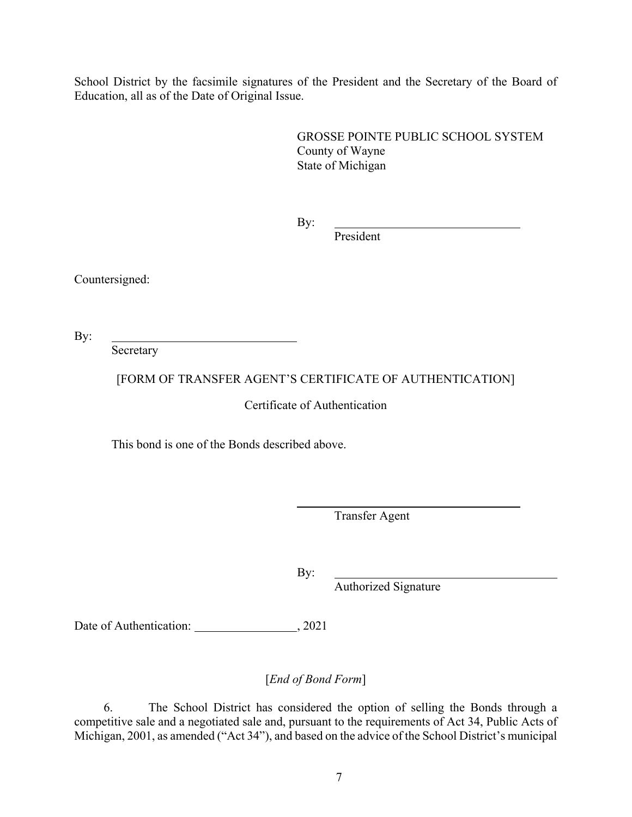School District by the facsimile signatures of the President and the Secretary of the Board of Education, all as of the Date of Original Issue.

> GROSSE POINTE PUBLIC SCHOOL SYSTEM County of Wayne State of Michigan

By:

President

Countersigned:

By:

Secretary

[FORM OF TRANSFER AGENT'S CERTIFICATE OF AUTHENTICATION]

Certificate of Authentication

This bond is one of the Bonds described above.

Transfer Agent

By:

Authorized Signature

Date of Authentication: 3021

[*End of Bond Form*]

6. The School District has considered the option of selling the Bonds through a competitive sale and a negotiated sale and, pursuant to the requirements of Act 34, Public Acts of Michigan, 2001, as amended ("Act 34"), and based on the advice of the School District's municipal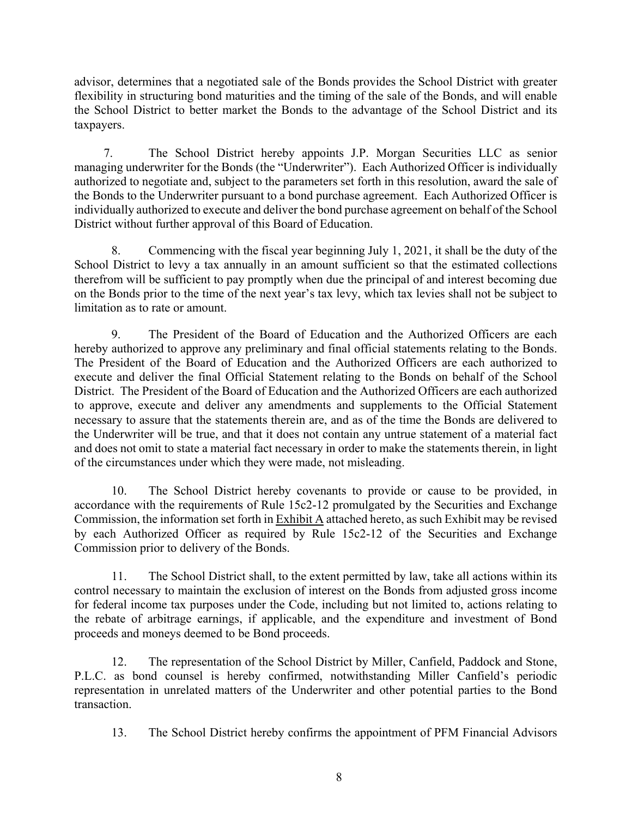advisor, determines that a negotiated sale of the Bonds provides the School District with greater flexibility in structuring bond maturities and the timing of the sale of the Bonds, and will enable the School District to better market the Bonds to the advantage of the School District and its taxpayers.

7. The School District hereby appoints J.P. Morgan Securities LLC as senior managing underwriter for the Bonds (the "Underwriter"). Each Authorized Officer is individually authorized to negotiate and, subject to the parameters set forth in this resolution, award the sale of the Bonds to the Underwriter pursuant to a bond purchase agreement. Each Authorized Officer is individually authorized to execute and deliver the bond purchase agreement on behalf of the School District without further approval of this Board of Education.

8. Commencing with the fiscal year beginning July 1, 2021, it shall be the duty of the School District to levy a tax annually in an amount sufficient so that the estimated collections therefrom will be sufficient to pay promptly when due the principal of and interest becoming due on the Bonds prior to the time of the next year's tax levy, which tax levies shall not be subject to limitation as to rate or amount.

9. The President of the Board of Education and the Authorized Officers are each hereby authorized to approve any preliminary and final official statements relating to the Bonds. The President of the Board of Education and the Authorized Officers are each authorized to execute and deliver the final Official Statement relating to the Bonds on behalf of the School District. The President of the Board of Education and the Authorized Officers are each authorized to approve, execute and deliver any amendments and supplements to the Official Statement necessary to assure that the statements therein are, and as of the time the Bonds are delivered to the Underwriter will be true, and that it does not contain any untrue statement of a material fact and does not omit to state a material fact necessary in order to make the statements therein, in light of the circumstances under which they were made, not misleading.

10. The School District hereby covenants to provide or cause to be provided, in accordance with the requirements of Rule 15c2-12 promulgated by the Securities and Exchange Commission, the information set forth in Exhibit A attached hereto, as such Exhibit may be revised by each Authorized Officer as required by Rule 15c2-12 of the Securities and Exchange Commission prior to delivery of the Bonds.

11. The School District shall, to the extent permitted by law, take all actions within its control necessary to maintain the exclusion of interest on the Bonds from adjusted gross income for federal income tax purposes under the Code, including but not limited to, actions relating to the rebate of arbitrage earnings, if applicable, and the expenditure and investment of Bond proceeds and moneys deemed to be Bond proceeds.

12. The representation of the School District by Miller, Canfield, Paddock and Stone, P.L.C. as bond counsel is hereby confirmed, notwithstanding Miller Canfield's periodic representation in unrelated matters of the Underwriter and other potential parties to the Bond transaction.

13. The School District hereby confirms the appointment of PFM Financial Advisors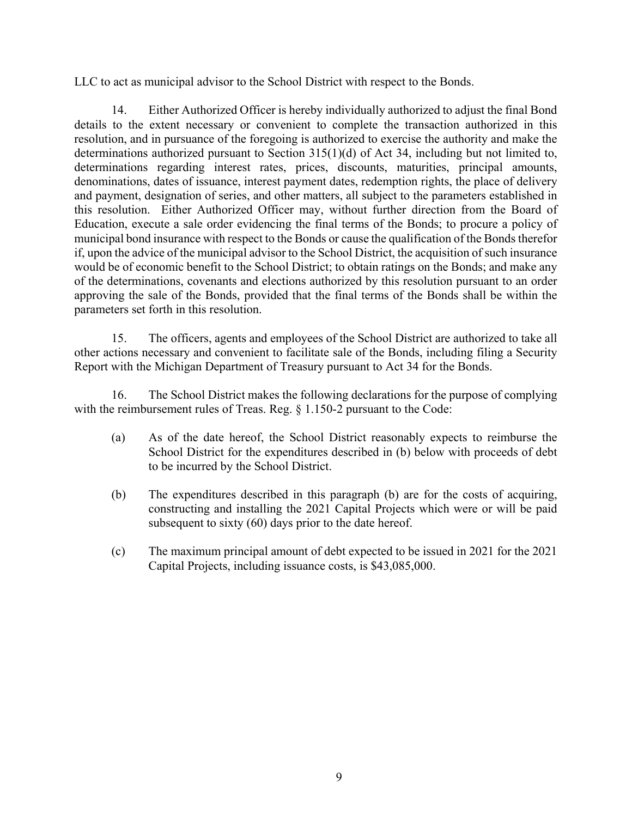LLC to act as municipal advisor to the School District with respect to the Bonds.

14. Either Authorized Officer is hereby individually authorized to adjust the final Bond details to the extent necessary or convenient to complete the transaction authorized in this resolution, and in pursuance of the foregoing is authorized to exercise the authority and make the determinations authorized pursuant to Section 315(1)(d) of Act 34, including but not limited to, determinations regarding interest rates, prices, discounts, maturities, principal amounts, denominations, dates of issuance, interest payment dates, redemption rights, the place of delivery and payment, designation of series, and other matters, all subject to the parameters established in this resolution. Either Authorized Officer may, without further direction from the Board of Education, execute a sale order evidencing the final terms of the Bonds; to procure a policy of municipal bond insurance with respect to the Bonds or cause the qualification of the Bonds therefor if, upon the advice of the municipal advisor to the School District, the acquisition of such insurance would be of economic benefit to the School District; to obtain ratings on the Bonds; and make any of the determinations, covenants and elections authorized by this resolution pursuant to an order approving the sale of the Bonds, provided that the final terms of the Bonds shall be within the parameters set forth in this resolution.

15. The officers, agents and employees of the School District are authorized to take all other actions necessary and convenient to facilitate sale of the Bonds, including filing a Security Report with the Michigan Department of Treasury pursuant to Act 34 for the Bonds.

16. The School District makes the following declarations for the purpose of complying with the reimbursement rules of Treas. Reg. § 1.150-2 pursuant to the Code:

- (a) As of the date hereof, the School District reasonably expects to reimburse the School District for the expenditures described in (b) below with proceeds of debt to be incurred by the School District.
- (b) The expenditures described in this paragraph (b) are for the costs of acquiring, constructing and installing the 2021 Capital Projects which were or will be paid subsequent to sixty (60) days prior to the date hereof.
- (c) The maximum principal amount of debt expected to be issued in 2021 for the 2021 Capital Projects, including issuance costs, is \$43,085,000.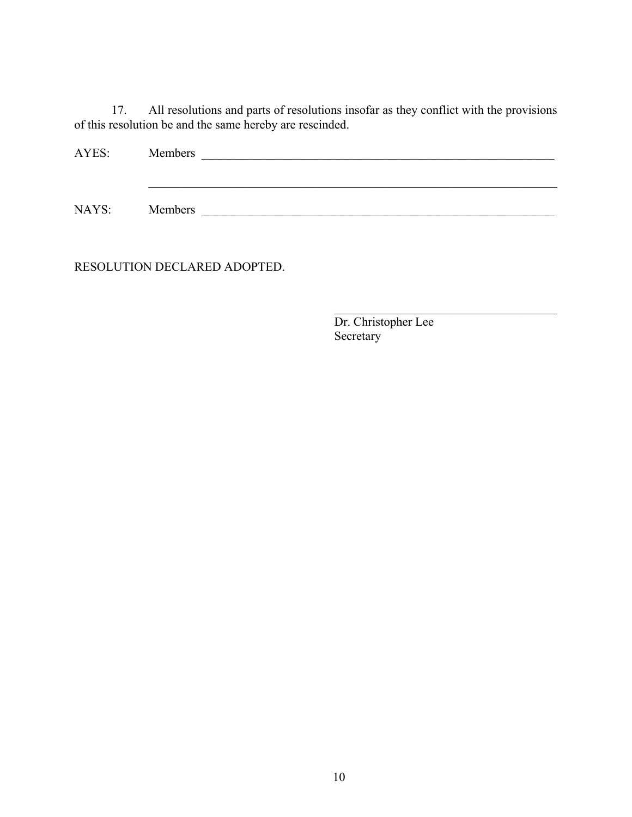17. All resolutions and parts of resolutions insofar as they conflict with the provisions of this resolution be and the same hereby are rescinded.

| AYES: | Members |  |
|-------|---------|--|
|       |         |  |
|       |         |  |
| NAYS: | Members |  |

RESOLUTION DECLARED ADOPTED.

 $\mathcal{L}_\mathcal{L}$ Dr. Christopher Lee Secretary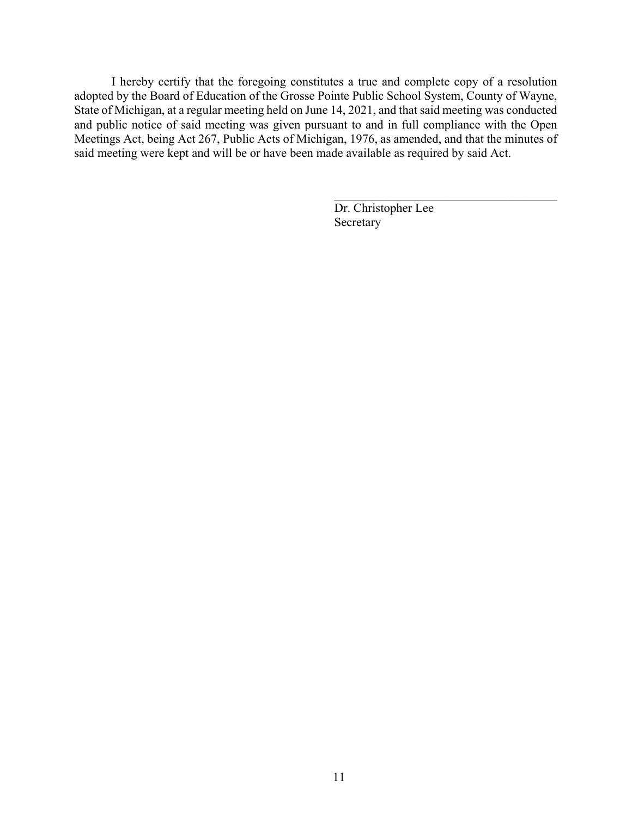I hereby certify that the foregoing constitutes a true and complete copy of a resolution adopted by the Board of Education of the Grosse Pointe Public School System, County of Wayne, State of Michigan, at a regular meeting held on June 14, 2021, and that said meeting was conducted and public notice of said meeting was given pursuant to and in full compliance with the Open Meetings Act, being Act 267, Public Acts of Michigan, 1976, as amended, and that the minutes of said meeting were kept and will be or have been made available as required by said Act.

> Dr. Christopher Lee Secretary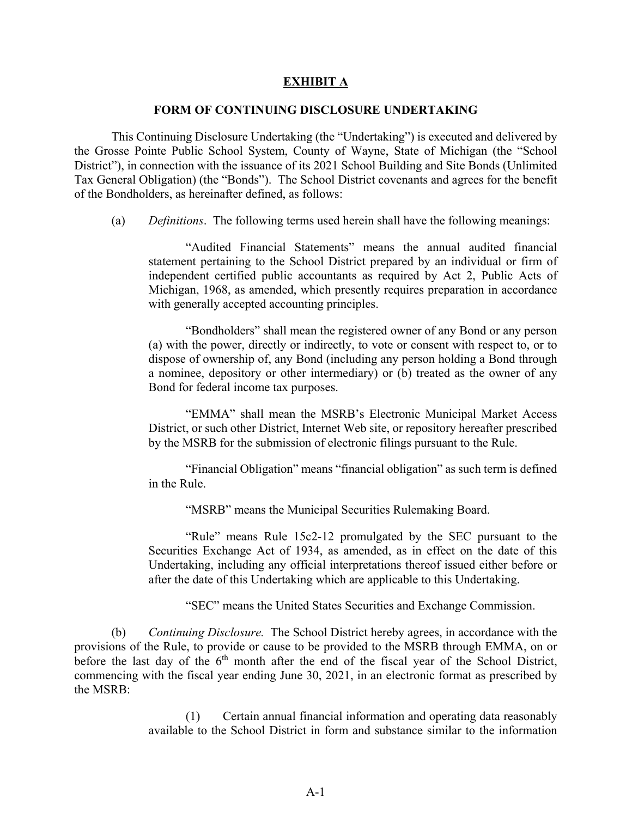#### **EXHIBIT A**

#### **FORM OF CONTINUING DISCLOSURE UNDERTAKING**

This Continuing Disclosure Undertaking (the "Undertaking") is executed and delivered by the Grosse Pointe Public School System, County of Wayne, State of Michigan (the "School District"), in connection with the issuance of its 2021 School Building and Site Bonds (Unlimited Tax General Obligation) (the "Bonds"). The School District covenants and agrees for the benefit of the Bondholders, as hereinafter defined, as follows:

(a) *Definitions*. The following terms used herein shall have the following meanings:

"Audited Financial Statements" means the annual audited financial statement pertaining to the School District prepared by an individual or firm of independent certified public accountants as required by Act 2, Public Acts of Michigan, 1968, as amended, which presently requires preparation in accordance with generally accepted accounting principles.

"Bondholders" shall mean the registered owner of any Bond or any person (a) with the power, directly or indirectly, to vote or consent with respect to, or to dispose of ownership of, any Bond (including any person holding a Bond through a nominee, depository or other intermediary) or (b) treated as the owner of any Bond for federal income tax purposes.

"EMMA" shall mean the MSRB's Electronic Municipal Market Access District, or such other District, Internet Web site, or repository hereafter prescribed by the MSRB for the submission of electronic filings pursuant to the Rule.

"Financial Obligation" means "financial obligation" as such term is defined in the Rule.

"MSRB" means the Municipal Securities Rulemaking Board.

"Rule" means Rule 15c2-12 promulgated by the SEC pursuant to the Securities Exchange Act of 1934, as amended, as in effect on the date of this Undertaking, including any official interpretations thereof issued either before or after the date of this Undertaking which are applicable to this Undertaking.

"SEC" means the United States Securities and Exchange Commission.

(b) *Continuing Disclosure.* The School District hereby agrees, in accordance with the provisions of the Rule, to provide or cause to be provided to the MSRB through EMMA, on or before the last day of the  $6<sup>th</sup>$  month after the end of the fiscal year of the School District, commencing with the fiscal year ending June 30, 2021, in an electronic format as prescribed by the MSRB:

> (1) Certain annual financial information and operating data reasonably available to the School District in form and substance similar to the information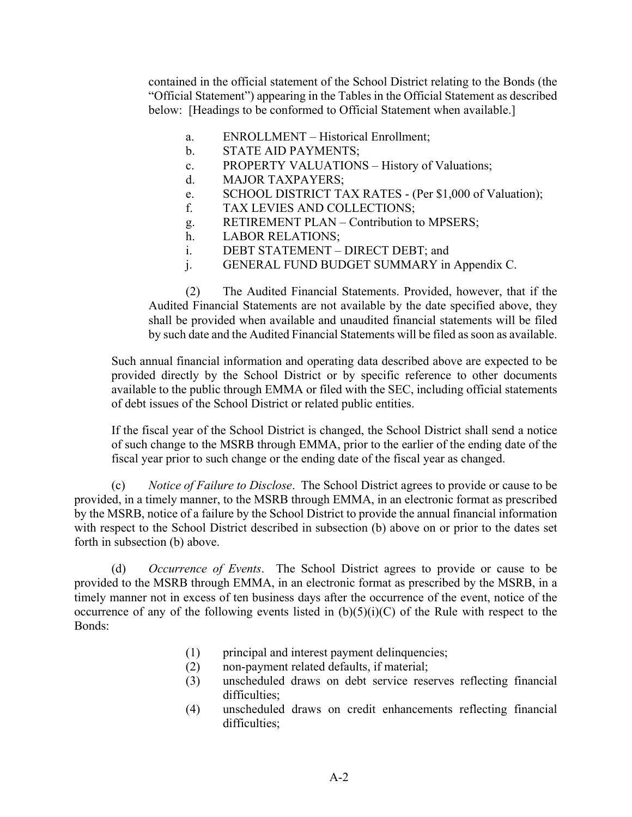contained in the official statement of the School District relating to the Bonds (the "Official Statement") appearing in the Tables in the Official Statement as described below: [Headings to be conformed to Official Statement when available.]

- a. ENROLLMENT Historical Enrollment;
- b. STATE AID PAYMENTS;
- c. PROPERTY VALUATIONS History of Valuations;
- d. MAJOR TAXPAYERS;
- e. SCHOOL DISTRICT TAX RATES (Per \$1,000 of Valuation);
- f. TAX LEVIES AND COLLECTIONS;
- g. RETIREMENT PLAN Contribution to MPSERS;
- h. LABOR RELATIONS;
- i. DEBT STATEMENT DIRECT DEBT; and
- j. GENERAL FUND BUDGET SUMMARY in Appendix C.

(2) The Audited Financial Statements. Provided, however, that if the Audited Financial Statements are not available by the date specified above, they shall be provided when available and unaudited financial statements will be filed by such date and the Audited Financial Statements will be filed as soon as available.

Such annual financial information and operating data described above are expected to be provided directly by the School District or by specific reference to other documents available to the public through EMMA or filed with the SEC, including official statements of debt issues of the School District or related public entities.

If the fiscal year of the School District is changed, the School District shall send a notice of such change to the MSRB through EMMA, prior to the earlier of the ending date of the fiscal year prior to such change or the ending date of the fiscal year as changed.

(c) *Notice of Failure to Disclose*. The School District agrees to provide or cause to be provided, in a timely manner, to the MSRB through EMMA, in an electronic format as prescribed by the MSRB, notice of a failure by the School District to provide the annual financial information with respect to the School District described in subsection (b) above on or prior to the dates set forth in subsection (b) above.

(d) *Occurrence of Events*. The School District agrees to provide or cause to be provided to the MSRB through EMMA, in an electronic format as prescribed by the MSRB, in a timely manner not in excess of ten business days after the occurrence of the event, notice of the occurrence of any of the following events listed in  $(b)(5)(i)(C)$  of the Rule with respect to the Bonds:

- (1) principal and interest payment delinquencies;
- (2) non-payment related defaults, if material;
- (3) unscheduled draws on debt service reserves reflecting financial difficulties;
- (4) unscheduled draws on credit enhancements reflecting financial difficulties;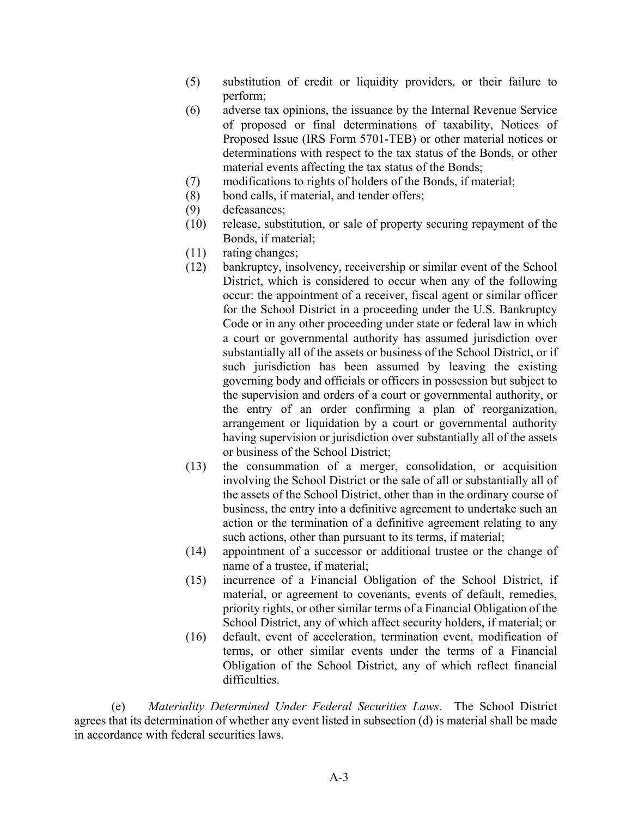- (5) substitution of credit or liquidity providers, or their failure to perform;
- (6) adverse tax opinions, the issuance by the Internal Revenue Service of proposed or final determinations of taxability, Notices of Proposed Issue (IRS Form 5701-TEB) or other material notices or determinations with respect to the tax status of the Bonds, or other material events affecting the tax status of the Bonds;
- (7) modifications to rights of holders of the Bonds, if material;
- (8) bond calls, if material, and tender offers;
- (9) defeasances;
- (10) release, substitution, or sale of property securing repayment of the Bonds, if material;
- (11) rating changes;
- (12) bankruptcy, insolvency, receivership or similar event of the School District, which is considered to occur when any of the following occur: the appointment of a receiver, fiscal agent or similar officer for the School District in a proceeding under the U.S. Bankruptcy Code or in any other proceeding under state or federal law in which a court or governmental authority has assumed jurisdiction over substantially all of the assets or business of the School District, or if such jurisdiction has been assumed by leaving the existing governing body and officials or officers in possession but subject to the supervision and orders of a court or governmental authority, or the entry of an order confirming a plan of reorganization, arrangement or liquidation by a court or governmental authority having supervision or jurisdiction over substantially all of the assets or business of the School District;
- (13) the consummation of a merger, consolidation, or acquisition involving the School District or the sale of all or substantially all of the assets of the School District, other than in the ordinary course of business, the entry into a definitive agreement to undertake such an action or the termination of a definitive agreement relating to any such actions, other than pursuant to its terms, if material;
- (14) appointment of a successor or additional trustee or the change of name of a trustee, if material;
- (15) incurrence of a Financial Obligation of the School District, if material, or agreement to covenants, events of default, remedies, priority rights, or other similar terms of a Financial Obligation of the School District, any of which affect security holders, if material; or
- (16) default, event of acceleration, termination event, modification of terms, or other similar events under the terms of a Financial Obligation of the School District, any of which reflect financial difficulties.

(e) *Materiality Determined Under Federal Securities Laws*. The School District agrees that its determination of whether any event listed in subsection (d) is material shall be made in accordance with federal securities laws.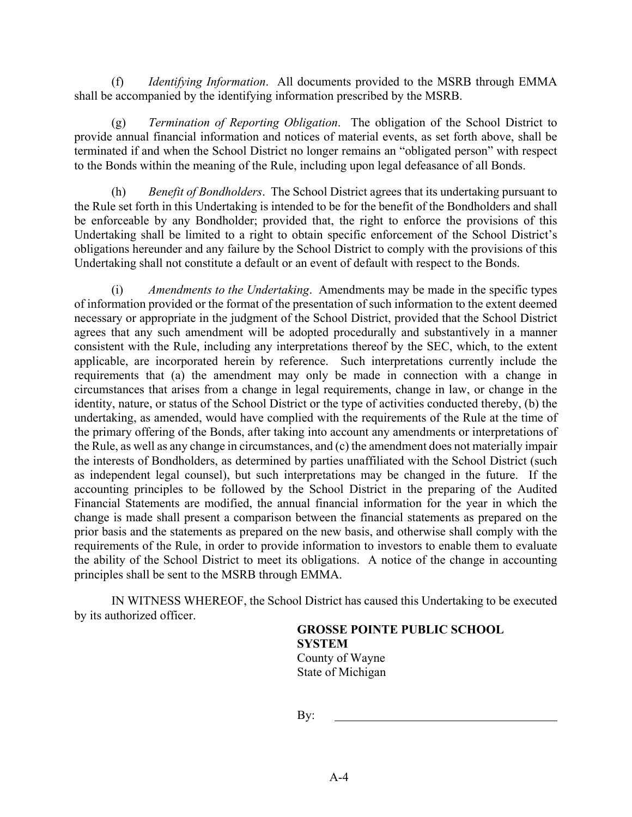(f) *Identifying Information*. All documents provided to the MSRB through EMMA shall be accompanied by the identifying information prescribed by the MSRB.

(g) *Termination of Reporting Obligation*. The obligation of the School District to provide annual financial information and notices of material events, as set forth above, shall be terminated if and when the School District no longer remains an "obligated person" with respect to the Bonds within the meaning of the Rule, including upon legal defeasance of all Bonds.

(h) *Benefit of Bondholders*. The School District agrees that its undertaking pursuant to the Rule set forth in this Undertaking is intended to be for the benefit of the Bondholders and shall be enforceable by any Bondholder; provided that, the right to enforce the provisions of this Undertaking shall be limited to a right to obtain specific enforcement of the School District's obligations hereunder and any failure by the School District to comply with the provisions of this Undertaking shall not constitute a default or an event of default with respect to the Bonds.

(i) *Amendments to the Undertaking*. Amendments may be made in the specific types of information provided or the format of the presentation of such information to the extent deemed necessary or appropriate in the judgment of the School District, provided that the School District agrees that any such amendment will be adopted procedurally and substantively in a manner consistent with the Rule, including any interpretations thereof by the SEC, which, to the extent applicable, are incorporated herein by reference. Such interpretations currently include the requirements that (a) the amendment may only be made in connection with a change in circumstances that arises from a change in legal requirements, change in law, or change in the identity, nature, or status of the School District or the type of activities conducted thereby, (b) the undertaking, as amended, would have complied with the requirements of the Rule at the time of the primary offering of the Bonds, after taking into account any amendments or interpretations of the Rule, as well as any change in circumstances, and (c) the amendment does not materially impair the interests of Bondholders, as determined by parties unaffiliated with the School District (such as independent legal counsel), but such interpretations may be changed in the future. If the accounting principles to be followed by the School District in the preparing of the Audited Financial Statements are modified, the annual financial information for the year in which the change is made shall present a comparison between the financial statements as prepared on the prior basis and the statements as prepared on the new basis, and otherwise shall comply with the requirements of the Rule, in order to provide information to investors to enable them to evaluate the ability of the School District to meet its obligations. A notice of the change in accounting principles shall be sent to the MSRB through EMMA.

IN WITNESS WHEREOF, the School District has caused this Undertaking to be executed by its authorized officer.

> **GROSSE POINTE PUBLIC SCHOOL SYSTEM** County of Wayne State of Michigan

By: